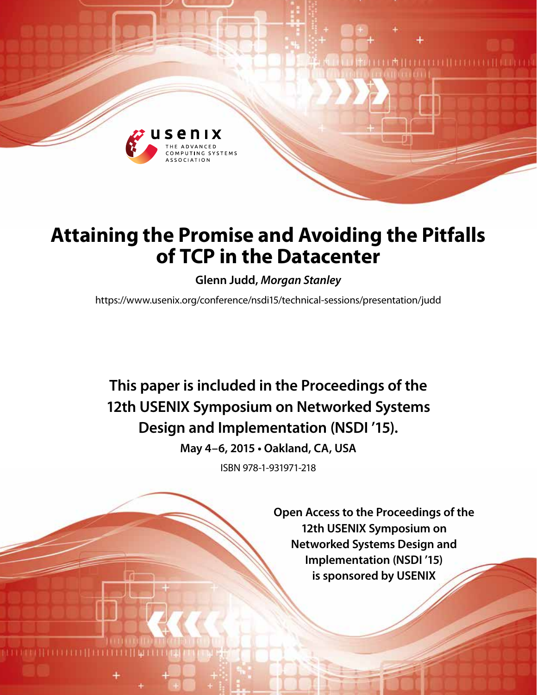

# **Attaining the Promise and Avoiding the Pitfalls of TCP in the Datacenter**

**Glenn Judd,** *Morgan Stanley*

https://www.usenix.org/conference/nsdi15/technical-sessions/presentation/judd

**This paper is included in the Proceedings of the 12th USENIX Symposium on Networked Systems Design and Implementation (NSDI '15).**

**May 4–6, 2015 • Oakland, CA, USA**

ISBN 978-1-931971-218

**Open Access to the Proceedings of the 12th USENIX Symposium on Networked Systems Design and Implementation (NSDI '15) is sponsored by USENIX**

**THEFFILITERES**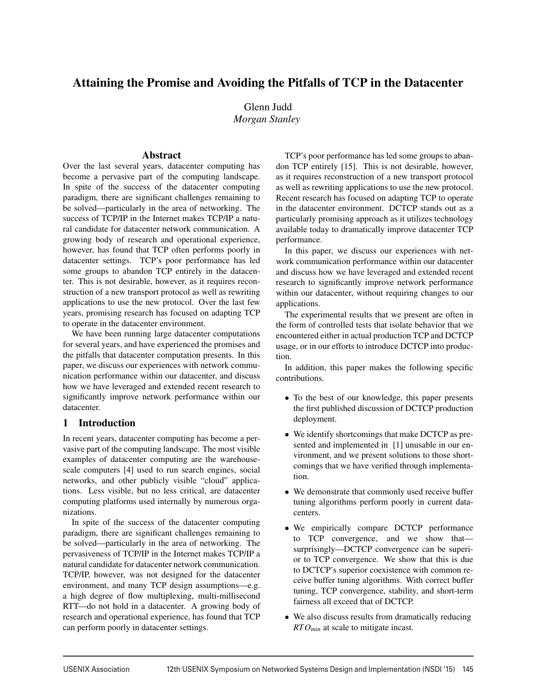# Attaining the Promise and Avoiding the Pitfalls of TCP in the Datacenter

Glenn Judd *Morgan Stanley*

# Abstract

Over the last several years, datacenter computing has become a pervasive part of the computing landscape. In spite of the success of the datacenter computing paradigm, there are significant challenges remaining to be solved—particularly in the area of networking. The success of TCP/IP in the Internet makes TCP/IP a natural candidate for datacenter network communication. A growing body of research and operational experience, however, has found that TCP often performs poorly in datacenter settings. TCP's poor performance has led some groups to abandon TCP entirely in the datacenter. This is not desirable, however, as it requires reconstruction of a new transport protocol as well as rewriting applications to use the new protocol. Over the last few years, promising research has focused on adapting TCP to operate in the datacenter environment.

We have been running large datacenter computations for several years, and have experienced the promises and the pitfalls that datacenter computation presents. In this paper, we discuss our experiences with network communication performance within our datacenter, and discuss how we have leveraged and extended recent research to significantly improve network performance within our datacenter.

# 1 Introduction

In recent years, datacenter computing has become a pervasive part of the computing landscape. The most visible examples of datacenter computing are the warehousescale computers [4] used to run search engines, social networks, and other publicly visible "cloud" applications. Less visible, but no less critical, are datacenter computing platforms used internally by numerous organizations.

In spite of the success of the datacenter computing paradigm, there are significant challenges remaining to be solved—particularly in the area of networking. The pervasiveness of TCP/IP in the Internet makes TCP/IP a natural candidate for datacenter network communication. TCP/IP, however, was not designed for the datacenter environment, and many TCP design assumptions—e.g. a high degree of flow multiplexing, multi-millisecond RTT—do not hold in a datacenter. A growing body of research and operational experience, has found that TCP can perform poorly in datacenter settings.

TCP's poor performance has led some groups to abandon TCP entirely [15]. This is not desirable, however, as it requires reconstruction of a new transport protocol as well as rewriting applications to use the new protocol. Recent research has focused on adapting TCP to operate in the datacenter environment. DCTCP stands out as a particularly promising approach as it utilizes technology available today to dramatically improve datacenter TCP performance.

In this paper, we discuss our experiences with network communication performance within our datacenter and discuss how we have leveraged and extended recent research to significantly improve network performance within our datacenter, without requiring changes to our applications.

The experimental results that we present are often in the form of controlled tests that isolate behavior that we encountered either in actual production TCP and DCTCP usage, or in our efforts to introduce DCTCP into production.

In addition, this paper makes the following specific contributions.

- To the best of our knowledge, this paper presents the first published discussion of DCTCP production deployment.
- We identify shortcomings that make DCTCP as presented and implemented in [1] unusable in our environment, and we present solutions to those shortcomings that we have verified through implementation.
- We demonstrate that commonly used receive buffer tuning algorithms perform poorly in current datacenters.
- We empirically compare DCTCP performance to TCP convergence, and we show that surprisingly—DCTCP convergence can be superior to TCP convergence. We show that this is due to DCTCP's superior coexistence with common receive buffer tuning algorithms. With correct buffer tuning, TCP convergence, stability, and short-term fairness all exceed that of DCTCP.
- We also discuss results from dramatically reducing *RTOmin* at scale to mitigate incast.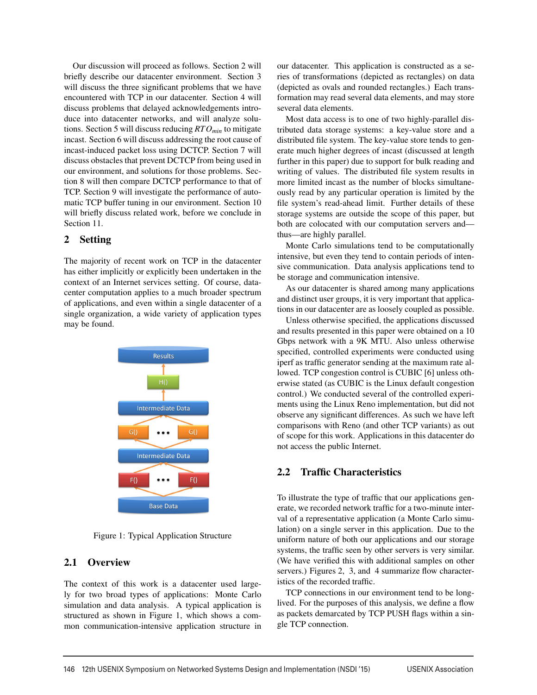Our discussion will proceed as follows. Section 2 will briefly describe our datacenter environment. Section 3 will discuss the three significant problems that we have encountered with TCP in our datacenter. Section 4 will discuss problems that delayed acknowledgements introduce into datacenter networks, and will analyze solutions. Section 5 will discuss reducing *RTOmin* to mitigate incast. Section 6 will discuss addressing the root cause of incast-induced packet loss using DCTCP. Section 7 will discuss obstacles that prevent DCTCP from being used in our environment, and solutions for those problems. Section 8 will then compare DCTCP performance to that of TCP. Section 9 will investigate the performance of automatic TCP buffer tuning in our environment. Section 10 will briefly discuss related work, before we conclude in Section 11.

# 2 Setting

The majority of recent work on TCP in the datacenter has either implicitly or explicitly been undertaken in the context of an Internet services setting. Of course, datacenter computation applies to a much broader spectrum of applications, and even within a single datacenter of a single organization, a wide variety of application types may be found.



Figure 1: Typical Application Structure

# 2.1 Overview

The context of this work is a datacenter used largely for two broad types of applications: Monte Carlo simulation and data analysis. A typical application is structured as shown in Figure 1, which shows a common communication-intensive application structure in

our datacenter. This application is constructed as a series of transformations (depicted as rectangles) on data (depicted as ovals and rounded rectangles.) Each transformation may read several data elements, and may store several data elements.

Most data access is to one of two highly-parallel distributed data storage systems: a key-value store and a distributed file system. The key-value store tends to generate much higher degrees of incast (discussed at length further in this paper) due to support for bulk reading and writing of values. The distributed file system results in more limited incast as the number of blocks simultaneously read by any particular operation is limited by the file system's read-ahead limit. Further details of these storage systems are outside the scope of this paper, but both are colocated with our computation servers and thus—are highly parallel.

Monte Carlo simulations tend to be computationally intensive, but even they tend to contain periods of intensive communication. Data analysis applications tend to be storage and communication intensive.

As our datacenter is shared among many applications and distinct user groups, it is very important that applications in our datacenter are as loosely coupled as possible.

Unless otherwise specified, the applications discussed and results presented in this paper were obtained on a 10 Gbps network with a 9K MTU. Also unless otherwise specified, controlled experiments were conducted using iperf as traffic generator sending at the maximum rate allowed. TCP congestion control is CUBIC [6] unless otherwise stated (as CUBIC is the Linux default congestion control.) We conducted several of the controlled experiments using the Linux Reno implementation, but did not observe any significant differences. As such we have left comparisons with Reno (and other TCP variants) as out of scope for this work. Applications in this datacenter do not access the public Internet.

# 2.2 Traffic Characteristics

To illustrate the type of traffic that our applications generate, we recorded network traffic for a two-minute interval of a representative application (a Monte Carlo simulation) on a single server in this application. Due to the uniform nature of both our applications and our storage systems, the traffic seen by other servers is very similar. (We have verified this with additional samples on other servers.) Figures 2, 3, and 4 summarize flow characteristics of the recorded traffic.

TCP connections in our environment tend to be longlived. For the purposes of this analysis, we define a flow as packets demarcated by TCP PUSH flags within a single TCP connection.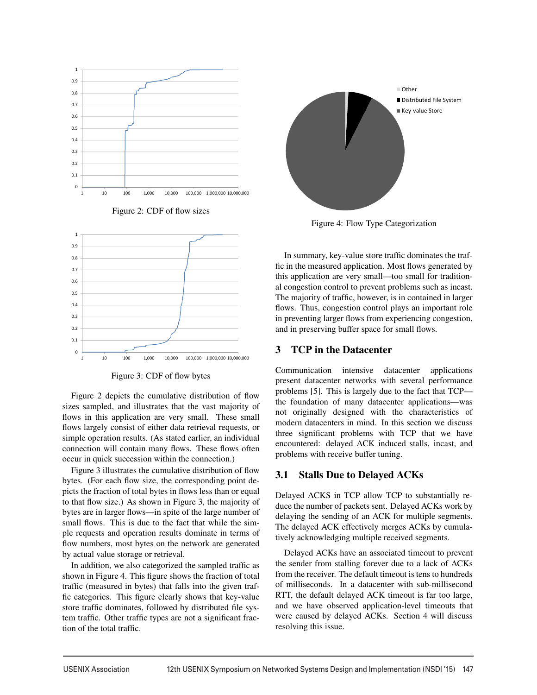





Figure 3: CDF of flow bytes

Figure 2 depicts the cumulative distribution of flow sizes sampled, and illustrates that the vast majority of flows in this application are very small. These small flows largely consist of either data retrieval requests, or simple operation results. (As stated earlier, an individual connection will contain many flows. These flows often occur in quick succession within the connection.)

Figure 3 illustrates the cumulative distribution of flow bytes. (For each flow size, the corresponding point depicts the fraction of total bytes in flows less than or equal to that flow size.) As shown in Figure 3, the majority of bytes are in larger flows—in spite of the large number of small flows. This is due to the fact that while the simple requests and operation results dominate in terms of flow numbers, most bytes on the network are generated by actual value storage or retrieval.

In addition, we also categorized the sampled traffic as shown in Figure 4. This figure shows the fraction of total traffic (measured in bytes) that falls into the given traffic categories. This figure clearly shows that key-value store traffic dominates, followed by distributed file system traffic. Other traffic types are not a significant fraction of the total traffic.



Figure 4: Flow Type Categorization

In summary, key-value store traffic dominates the traffic in the measured application. Most flows generated by this application are very small—too small for traditional congestion control to prevent problems such as incast. The majority of traffic, however, is in contained in larger flows. Thus, congestion control plays an important role in preventing larger flows from experiencing congestion, and in preserving buffer space for small flows.

## 3 TCP in the Datacenter

Communication intensive datacenter applications present datacenter networks with several performance problems [5]. This is largely due to the fact that TCP the foundation of many datacenter applications—was not originally designed with the characteristics of modern datacenters in mind. In this section we discuss three significant problems with TCP that we have encountered: delayed ACK induced stalls, incast, and problems with receive buffer tuning.

# 3.1 Stalls Due to Delayed ACKs

Delayed ACKS in TCP allow TCP to substantially reduce the number of packets sent. Delayed ACKs work by delaying the sending of an ACK for multiple segments. The delayed ACK effectively merges ACKs by cumulatively acknowledging multiple received segments.

Delayed ACKs have an associated timeout to prevent the sender from stalling forever due to a lack of ACKs from the receiver. The default timeout is tens to hundreds of milliseconds. In a datacenter with sub-millisecond RTT, the default delayed ACK timeout is far too large, and we have observed application-level timeouts that were caused by delayed ACKs. Section 4 will discuss resolving this issue.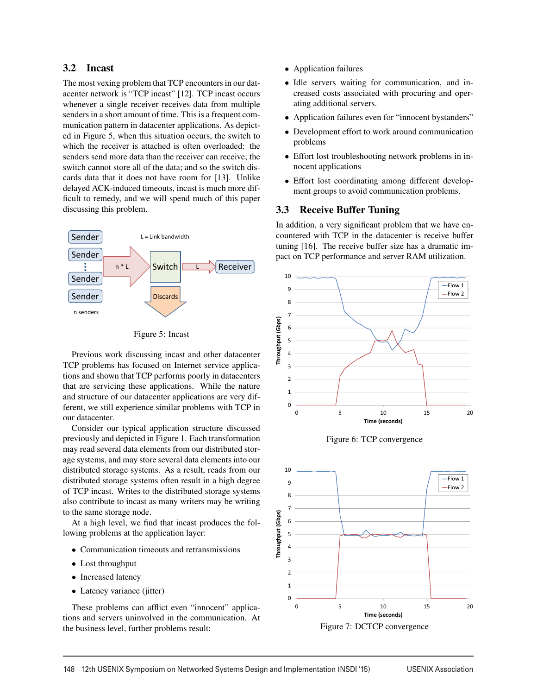## 3.2 Incast

The most vexing problem that TCP encounters in our datacenter network is "TCP incast" [12]. TCP incast occurs whenever a single receiver receives data from multiple senders in a short amount of time. This is a frequent communication pattern in datacenter applications. As depicted in Figure 5, when this situation occurs, the switch to which the receiver is attached is often overloaded: the senders send more data than the receiver can receive; the switch cannot store all of the data; and so the switch discards data that it does not have room for [13]. Unlike delayed ACK-induced timeouts, incast is much more difficult to remedy, and we will spend much of this paper discussing this problem.



Figure 5: Incast

Previous work discussing incast and other datacenter TCP problems has focused on Internet service applications and shown that TCP performs poorly in datacenters that are servicing these applications. While the nature and structure of our datacenter applications are very different, we still experience similar problems with TCP in our datacenter.

Consider our typical application structure discussed previously and depicted in Figure 1. Each transformation may read several data elements from our distributed storage systems, and may store several data elements into our distributed storage systems. As a result, reads from our distributed storage systems often result in a high degree of TCP incast. Writes to the distributed storage systems also contribute to incast as many writers may be writing to the same storage node.

At a high level, we find that incast produces the following problems at the application layer:

- Communication timeouts and retransmissions
- Lost throughput
- Increased latency
- Latency variance (jitter)

These problems can afflict even "innocent" applications and servers uninvolved in the communication. At the business level, further problems result:

- Application failures
- Idle servers waiting for communication, and increased costs associated with procuring and operating additional servers.
- Application failures even for "innocent bystanders"
- Development effort to work around communication problems
- Effort lost troubleshooting network problems in innocent applications
- Effort lost coordinating among different development groups to avoid communication problems.

#### 3.3 Receive Buffer Tuning

In addition, a very significant problem that we have encountered with TCP in the datacenter is receive buffer tuning [16]. The receive buffer size has a dramatic impact on TCP performance and server RAM utilization.



Figure 6: TCP convergence



Figure 7: DCTCP convergence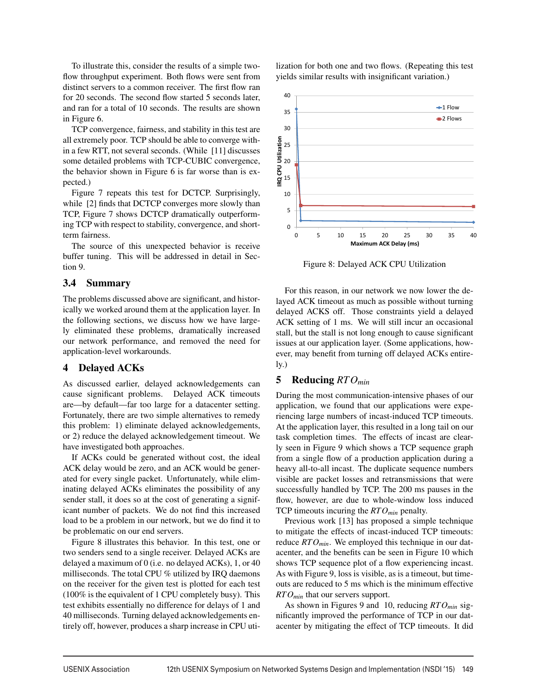To illustrate this, consider the results of a simple twoflow throughput experiment. Both flows were sent from distinct servers to a common receiver. The first flow ran for 20 seconds. The second flow started 5 seconds later, and ran for a total of 10 seconds. The results are shown in Figure 6.

TCP convergence, fairness, and stability in this test are all extremely poor. TCP should be able to converge within a few RTT, not several seconds. (While [11] discusses some detailed problems with TCP-CUBIC convergence, the behavior shown in Figure 6 is far worse than is expected.)

Figure 7 repeats this test for DCTCP. Surprisingly, while [2] finds that DCTCP converges more slowly than TCP, Figure 7 shows DCTCP dramatically outperforming TCP with respect to stability, convergence, and shortterm fairness.

The source of this unexpected behavior is receive buffer tuning. This will be addressed in detail in Section 9.

# 3.4 Summary

The problems discussed above are significant, and historically we worked around them at the application layer. In the following sections, we discuss how we have largely eliminated these problems, dramatically increased our network performance, and removed the need for application-level workarounds.

# 4 Delayed ACKs

As discussed earlier, delayed acknowledgements can cause significant problems. Delayed ACK timeouts are—by default—far too large for a datacenter setting. Fortunately, there are two simple alternatives to remedy this problem: 1) eliminate delayed acknowledgements, or 2) reduce the delayed acknowledgement timeout. We have investigated both approaches.

If ACKs could be generated without cost, the ideal ACK delay would be zero, and an ACK would be generated for every single packet. Unfortunately, while eliminating delayed ACKs eliminates the possibility of any sender stall, it does so at the cost of generating a significant number of packets. We do not find this increased load to be a problem in our network, but we do find it to be problematic on our end servers.

Figure 8 illustrates this behavior. In this test, one or two senders send to a single receiver. Delayed ACKs are delayed a maximum of 0 (i.e. no delayed ACKs), 1, or 40 milliseconds. The total CPU % utilized by IRQ daemons on the receiver for the given test is plotted for each test (100% is the equivalent of 1 CPU completely busy). This test exhibits essentially no difference for delays of 1 and 40 milliseconds. Turning delayed acknowledgements entirely off, however, produces a sharp increase in CPU utilization for both one and two flows. (Repeating this test yields similar results with insignificant variation.)



Figure 8: Delayed ACK CPU Utilization

For this reason, in our network we now lower the delayed ACK timeout as much as possible without turning delayed ACKS off. Those constraints yield a delayed ACK setting of 1 ms. We will still incur an occasional stall, but the stall is not long enough to cause significant issues at our application layer. (Some applications, however, may benefit from turning off delayed ACKs entirely.)

# 5 Reducing *RTOmin*

During the most communication-intensive phases of our application, we found that our applications were experiencing large numbers of incast-induced TCP timeouts. At the application layer, this resulted in a long tail on our task completion times. The effects of incast are clearly seen in Figure 9 which shows a TCP sequence graph from a single flow of a production application during a heavy all-to-all incast. The duplicate sequence numbers visible are packet losses and retransmissions that were successfully handled by TCP. The 200 ms pauses in the flow, however, are due to whole-window loss induced TCP timeouts incuring the *RTOmin* penalty.

Previous work [13] has proposed a simple technique to mitigate the effects of incast-induced TCP timeouts: reduce *RTO<sub>min</sub>*. We employed this technique in our datacenter, and the benefits can be seen in Figure 10 which shows TCP sequence plot of a flow experiencing incast. As with Figure 9, loss is visible, as is a timeout, but timeouts are reduced to 5 ms which is the minimum effective *RTOmin* that our servers support.

As shown in Figures 9 and 10, reducing *RTOmin* significantly improved the performance of TCP in our datacenter by mitigating the effect of TCP timeouts. It did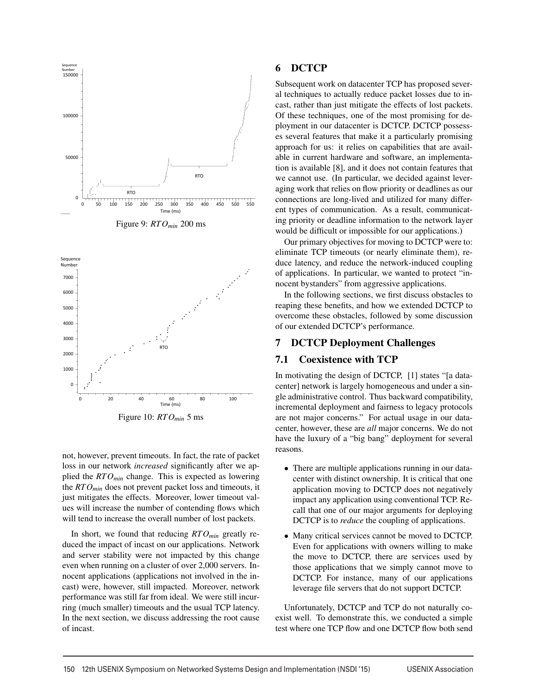



not, however, prevent timeouts. In fact, the rate of packet loss in our network *increased* significantly after we applied the *RTOmin* change. This is expected as lowering the *RTOmin* does not prevent packet loss and timeouts, it just mitigates the effects. Moreover, lower timeout values will increase the number of contending flows which will tend to increase the overall number of lost packets.

In short, we found that reducing *RTOmin* greatly reduced the impact of incast on our applications. Network and server stability were not impacted by this change even when running on a cluster of over 2,000 servers. Innocent applications (applications not involved in the incast) were, however, still impacted. Moreover, network performance was still far from ideal. We were still incurring (much smaller) timeouts and the usual TCP latency. In the next section, we discuss addressing the root cause of incast.

# 6 DCTCP

Subsequent work on datacenter TCP has proposed several techniques to actually reduce packet losses due to incast, rather than just mitigate the effects of lost packets. Of these techniques, one of the most promising for deployment in our datacenter is DCTCP. DCTCP possesses several features that make it a particularly promising approach for us: it relies on capabilities that are available in current hardware and software, an implementation is available [8], and it does not contain features that we cannot use. (In particular, we decided against leveraging work that relies on flow priority or deadlines as our connections are long-lived and utilized for many different types of communication. As a result, communicating priority or deadline information to the network layer would be difficult or impossible for our applications.)

Our primary objectives for moving to DCTCP were to: eliminate TCP timeouts (or nearly eliminate them), reduce latency, and reduce the network-induced coupling of applications. In particular, we wanted to protect "innocent bystanders" from aggressive applications.

In the following sections, we first discuss obstacles to reaping these benefits, and how we extended DCTCP to overcome these obstacles, followed by some discussion of our extended DCTCP's performance.

#### 7 DCTCP Deployment Challenges

#### 7.1 Coexistence with TCP

In motivating the design of DCTCP, [1] states "[a datacenter] network is largely homogeneous and under a single administrative control. Thus backward compatibility, incremental deployment and fairness to legacy protocols are not major concerns." For actual usage in our datacenter, however, these are *all* major concerns. We do not have the luxury of a "big bang" deployment for several reasons.

- There are multiple applications running in our datacenter with distinct ownership. It is critical that one application moving to DCTCP does not negatively impact any application using conventional TCP. Recall that one of our major arguments for deploying DCTCP is to *reduce* the coupling of applications.
- Many critical services cannot be moved to DCTCP. Even for applications with owners willing to make the move to DCTCP, there are services used by those applications that we simply cannot move to DCTCP. For instance, many of our applications leverage file servers that do not support DCTCP.

Unfortunately, DCTCP and TCP do not naturally coexist well. To demonstrate this, we conducted a simple test where one TCP flow and one DCTCP flow both send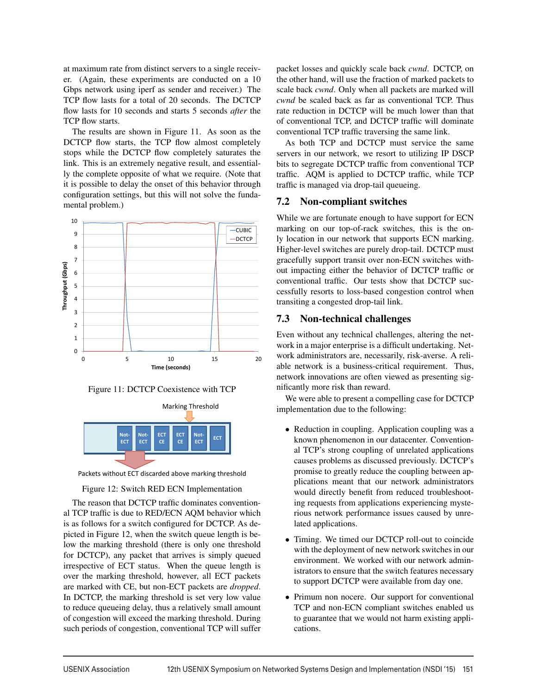at maximum rate from distinct servers to a single receiver. (Again, these experiments are conducted on a 10 Gbps network using iperf as sender and receiver.) The TCP flow lasts for a total of 20 seconds. The DCTCP flow lasts for 10 seconds and starts 5 seconds *after* the TCP flow starts.

The results are shown in Figure 11. As soon as the DCTCP flow starts, the TCP flow almost completely stops while the DCTCP flow completely saturates the link. This is an extremely negative result, and essentially the complete opposite of what we require. (Note that it is possible to delay the onset of this behavior through configuration settings, but this will not solve the fundamental problem.)







Packets without ECT discarded above marking threshold

#### Figure 12: Switch RED ECN Implementation

The reason that DCTCP traffic dominates conventional TCP traffic is due to RED/ECN AQM behavior which is as follows for a switch configured for DCTCP. As depicted in Figure 12, when the switch queue length is below the marking threshold (there is only one threshold for DCTCP), any packet that arrives is simply queued irrespective of ECT status. When the queue length is over the marking threshold, however, all ECT packets are marked with CE, but non-ECT packets are *dropped*. In DCTCP, the marking threshold is set very low value to reduce queueing delay, thus a relatively small amount of congestion will exceed the marking threshold. During such periods of congestion, conventional TCP will suffer packet losses and quickly scale back *cwnd*. DCTCP, on the other hand, will use the fraction of marked packets to scale back *cwnd*. Only when all packets are marked will *cwnd* be scaled back as far as conventional TCP. Thus rate reduction in DCTCP will be much lower than that of conventional TCP, and DCTCP traffic will dominate conventional TCP traffic traversing the same link.

As both TCP and DCTCP must service the same servers in our network, we resort to utilizing IP DSCP bits to segregate DCTCP traffic from conventional TCP traffic. AQM is applied to DCTCP traffic, while TCP traffic is managed via drop-tail queueing.

## 7.2 Non-compliant switches

While we are fortunate enough to have support for ECN marking on our top-of-rack switches, this is the only location in our network that supports ECN marking. Higher-level switches are purely drop-tail. DCTCP must gracefully support transit over non-ECN switches without impacting either the behavior of DCTCP traffic or conventional traffic. Our tests show that DCTCP successfully resorts to loss-based congestion control when transiting a congested drop-tail link.

# 7.3 Non-technical challenges

Even without any technical challenges, altering the network in a major enterprise is a difficult undertaking. Network administrators are, necessarily, risk-averse. A reliable network is a business-critical requirement. Thus, network innovations are often viewed as presenting significantly more risk than reward.

We were able to present a compelling case for DCTCP implementation due to the following:

- Reduction in coupling. Application coupling was a known phenomenon in our datacenter. Conventional TCP's strong coupling of unrelated applications causes problems as discussed previously. DCTCP's promise to greatly reduce the coupling between applications meant that our network administrators would directly benefit from reduced troubleshooting requests from applications experiencing mysterious network performance issues caused by unrelated applications.
- Timing. We timed our DCTCP roll-out to coincide with the deployment of new network switches in our environment. We worked with our network administrators to ensure that the switch features necessary to support DCTCP were available from day one.
- Primum non nocere. Our support for conventional TCP and non-ECN compliant switches enabled us to guarantee that we would not harm existing applications.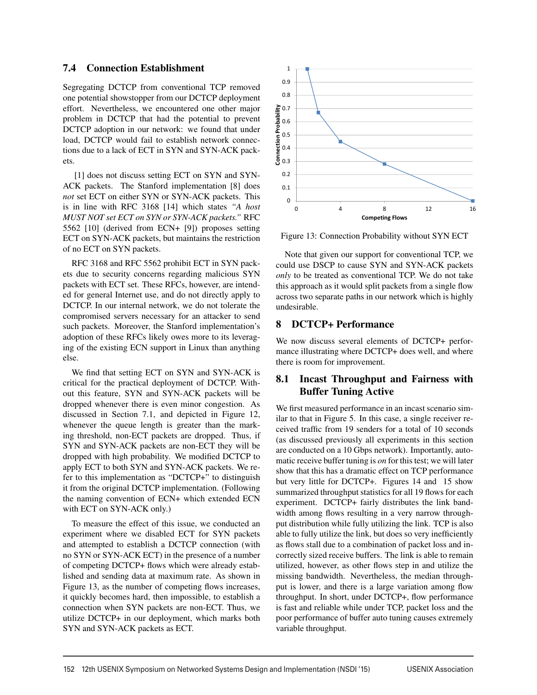### 7.4 Connection Establishment

Segregating DCTCP from conventional TCP removed one potential showstopper from our DCTCP deployment effort. Nevertheless, we encountered one other major problem in DCTCP that had the potential to prevent DCTCP adoption in our network: we found that under load, DCTCP would fail to establish network connections due to a lack of ECT in SYN and SYN-ACK packets.

[1] does not discuss setting ECT on SYN and SYN-ACK packets. The Stanford implementation [8] does *not* set ECT on either SYN or SYN-ACK packets. This is in line with RFC 3168 [14] which states *"A host MUST NOT set ECT on SYN or SYN-ACK packets."* RFC 5562 [10] (derived from ECN+ [9]) proposes setting ECT on SYN-ACK packets, but maintains the restriction of no ECT on SYN packets.

RFC 3168 and RFC 5562 prohibit ECT in SYN packets due to security concerns regarding malicious SYN packets with ECT set. These RFCs, however, are intended for general Internet use, and do not directly apply to DCTCP. In our internal network, we do not tolerate the compromised servers necessary for an attacker to send such packets. Moreover, the Stanford implementation's adoption of these RFCs likely owes more to its leveraging of the existing ECN support in Linux than anything else.

We find that setting ECT on SYN and SYN-ACK is critical for the practical deployment of DCTCP. Without this feature, SYN and SYN-ACK packets will be dropped whenever there is even minor congestion. As discussed in Section 7.1, and depicted in Figure 12, whenever the queue length is greater than the marking threshold, non-ECT packets are dropped. Thus, if SYN and SYN-ACK packets are non-ECT they will be dropped with high probability. We modified DCTCP to apply ECT to both SYN and SYN-ACK packets. We refer to this implementation as "DCTCP+" to distinguish it from the original DCTCP implementation. (Following the naming convention of ECN+ which extended ECN with ECT on SYN-ACK only.)

To measure the effect of this issue, we conducted an experiment where we disabled ECT for SYN packets and attempted to establish a DCTCP connection (with no SYN or SYN-ACK ECT) in the presence of a number of competing DCTCP+ flows which were already established and sending data at maximum rate. As shown in Figure 13, as the number of competing flows increases, it quickly becomes hard, then impossible, to establish a connection when SYN packets are non-ECT. Thus, we utilize DCTCP+ in our deployment, which marks both SYN and SYN-ACK packets as ECT.



Figure 13: Connection Probability without SYN ECT

Note that given our support for conventional TCP, we could use DSCP to cause SYN and SYN-ACK packets *only* to be treated as conventional TCP. We do not take this approach as it would split packets from a single flow across two separate paths in our network which is highly undesirable.

# 8 DCTCP+ Performance

We now discuss several elements of DCTCP+ performance illustrating where DCTCP+ does well, and where there is room for improvement.

# 8.1 Incast Throughput and Fairness with Buffer Tuning Active

We first measured performance in an incast scenario similar to that in Figure 5. In this case, a single receiver received traffic from 19 senders for a total of 10 seconds (as discussed previously all experiments in this section are conducted on a 10 Gbps network). Importantly, automatic receive buffer tuning is *on* for this test; we will later show that this has a dramatic effect on TCP performance but very little for DCTCP+. Figures 14 and 15 show summarized throughput statistics for all 19 flows for each experiment. DCTCP+ fairly distributes the link bandwidth among flows resulting in a very narrow throughput distribution while fully utilizing the link. TCP is also able to fully utilize the link, but does so very inefficiently as flows stall due to a combination of packet loss and incorrectly sized receive buffers. The link is able to remain utilized, however, as other flows step in and utilize the missing bandwidth. Nevertheless, the median throughput is lower, and there is a large variation among flow throughput. In short, under DCTCP+, flow performance is fast and reliable while under TCP, packet loss and the poor performance of buffer auto tuning causes extremely variable throughput.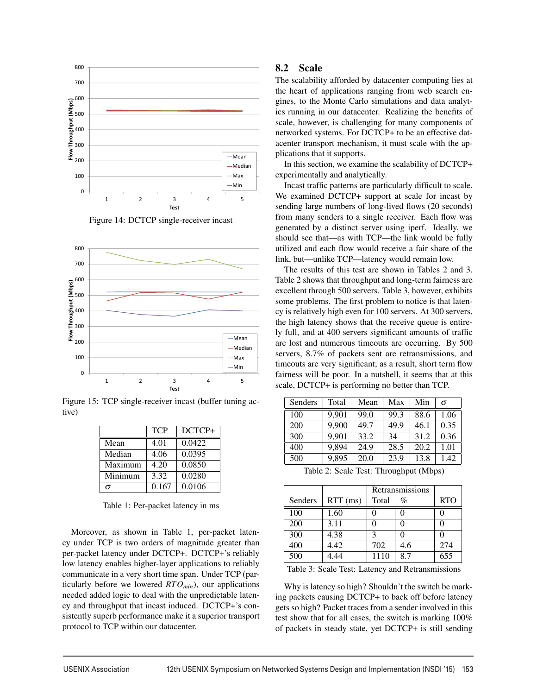



Figure 14: DCTCP single-receiver incast

Figure 15: TCP single-receiver incast (buffer tuning active)

|         | <b>TCP</b> | DCTCP+ |
|---------|------------|--------|
| Mean    | 4.01       | 0.0422 |
| Median  | 4.06       | 0.0395 |
| Maximum | 4.20       | 0.0850 |
| Minimum | 3.32       | 0.0280 |
|         | 0.167      | 0.0106 |

Table 1: Per-packet latency in ms

Moreover, as shown in Table 1, per-packet latency under TCP is two orders of magnitude greater than per-packet latency under DCTCP+. DCTCP+'s reliably low latency enables higher-layer applications to reliably communicate in a very short time span. Under TCP (particularly before we lowered  $RTO<sub>min</sub>$ ), our applications needed added logic to deal with the unpredictable latency and throughput that incast induced. DCTCP+'s consistently superb performance make it a superior transport protocol to TCP within our datacenter.

### 8.2 Scale

The scalability afforded by datacenter computing lies at the heart of applications ranging from web search engines, to the Monte Carlo simulations and data analytics running in our datacenter. Realizing the benefits of scale, however, is challenging for many components of networked systems. For DCTCP+ to be an effective datacenter transport mechanism, it must scale with the applications that it supports.

In this section, we examine the scalability of DCTCP+ experimentally and analytically.

Incast traffic patterns are particularly difficult to scale. We examined DCTCP+ support at scale for incast by sending large numbers of long-lived flows (20 seconds) from many senders to a single receiver. Each flow was generated by a distinct server using iperf. Ideally, we should see that—as with TCP—the link would be fully utilized and each flow would receive a fair share of the link, but—unlike TCP—latency would remain low.

The results of this test are shown in Tables 2 and 3. Table 2 shows that throughput and long-term fairness are excellent through 500 servers. Table 3, however, exhibits some problems. The first problem to notice is that latency is relatively high even for 100 servers. At 300 servers, the high latency shows that the receive queue is entirely full, and at 400 servers significant amounts of traffic are lost and numerous timeouts are occurring. By 500 servers, 8.7% of packets sent are retransmissions, and timeouts are very significant; as a result, short term flow fairness will be poor. In a nutshell, it seems that at this scale, DCTCP+ is performing no better than TCP.

| Senders | Total | Mean | Max  | Min  | $\sigma$ |
|---------|-------|------|------|------|----------|
| 100     | 9.901 | 99.0 | 99.3 | 88.6 | 1.06     |
| 200     | 9,900 | 49.7 | 49.9 | 46.1 | 0.35     |
| 300     | 9,901 | 33.2 | 34   | 31.2 | 0.36     |
| 400     | 9,894 | 24.9 | 28.5 | 20.2 | 1.01     |
| 500     | 9,895 | 20.0 | 23.9 | 13.8 | 1.42     |

Table 2: Scale Test: Throughput (Mbps)

|         |            | Retransmissions |      |            |
|---------|------------|-----------------|------|------------|
| Senders | $RTT$ (ms) | Total           | $\%$ | <b>RTO</b> |
| 100     | 1.60       |                 |      |            |
| 200     | 3.11       |                 |      |            |
| 300     | 4.38       | 2               |      |            |
| 400     | 4.42       | 702             | 4.6  | 274        |
| 500     | 4.44       | 1110            | 8.7  | 655        |

Table 3: Scale Test: Latency and Retransmissions

Why is latency so high? Shouldn't the switch be marking packets causing DCTCP+ to back off before latency gets so high? Packet traces from a sender involved in this test show that for all cases, the switch is marking 100% of packets in steady state, yet DCTCP+ is still sending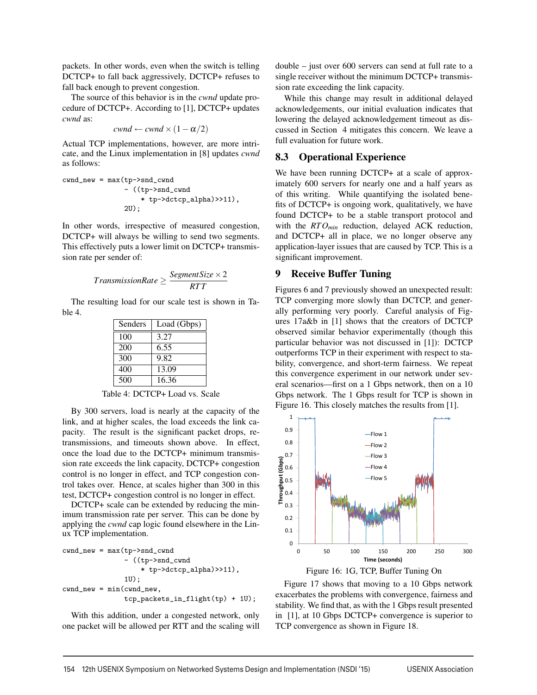packets. In other words, even when the switch is telling DCTCP+ to fall back aggressively, DCTCP+ refuses to fall back enough to prevent congestion.

The source of this behavior is in the *cwnd* update procedure of DCTCP+. According to [1], DCTCP+ updates *cwnd* as:

$$
cwnd \leftarrow cwnd \times (1 - \alpha/2)
$$

Actual TCP implementations, however, are more intricate, and the Linux implementation in [8] updates *cwnd* as follows:

$$
\begin{aligned} \text{cwnd_new} &= \text{max}(\text{tp->snd\_cwnd} \\ &- \left( (\text{tp->snd\_cwnd} \\ &* \text{tp->detcp\_alpha} \right) \text{>11} ), \\ &2\text{U}); \end{aligned}
$$

In other words, irrespective of measured congestion, DCTCP+ will always be willing to send two segments. This effectively puts a lower limit on DCTCP+ transmission rate per sender of:

$$
TransmissionRate \geq \frac{SegmentSize \times 2}{RTT}
$$

The resulting load for our scale test is shown in Table 4.

| Senders | Load (Gbps) |
|---------|-------------|
| 100     | 3.27        |
| 200     | 6.55        |
| 300     | 9.82        |
| 400     | 13.09       |
| 500     | 16.36       |

Table 4: DCTCP+ Load vs. Scale

By 300 servers, load is nearly at the capacity of the link, and at higher scales, the load exceeds the link capacity. The result is the significant packet drops, retransmissions, and timeouts shown above. In effect, once the load due to the DCTCP+ minimum transmission rate exceeds the link capacity, DCTCP+ congestion control is no longer in effect, and TCP congestion control takes over. Hence, at scales higher than 300 in this test, DCTCP+ congestion control is no longer in effect.

DCTCP+ scale can be extended by reducing the minimum transmission rate per server. This can be done by applying the *cwnd* cap logic found elsewhere in the Linux TCP implementation.

cwnd\_new = max(tp->snd\_cwnd - ((tp->snd\_cwnd \* tp->dctcp\_alpha)>>11), 1U); cwnd\_new = min(cwnd\_new, tcp\_packets\_in\_flight(tp) + 1U);

With this addition, under a congested network, only one packet will be allowed per RTT and the scaling will double – just over 600 servers can send at full rate to a single receiver without the minimum DCTCP+ transmission rate exceeding the link capacity.

While this change may result in additional delayed acknowledgements, our initial evaluation indicates that lowering the delayed acknowledgement timeout as discussed in Section 4 mitigates this concern. We leave a full evaluation for future work.

# 8.3 Operational Experience

We have been running DCTCP+ at a scale of approximately 600 servers for nearly one and a half years as of this writing. While quantifying the isolated benefits of DCTCP+ is ongoing work, qualitatively, we have found DCTCP+ to be a stable transport protocol and with the *RTOmin* reduction, delayed ACK reduction, and DCTCP+ all in place, we no longer observe any application-layer issues that are caused by TCP. This is a significant improvement.

# 9 Receive Buffer Tuning

Figures 6 and 7 previously showed an unexpected result: TCP converging more slowly than DCTCP, and generally performing very poorly. Careful analysis of Figures 17a&b in [1] shows that the creators of DCTCP observed similar behavior experimentally (though this particular behavior was not discussed in [1]): DCTCP outperforms TCP in their experiment with respect to stability, convergence, and short-term fairness. We repeat this convergence experiment in our network under several scenarios—first on a 1 Gbps network, then on a 10 Gbps network. The 1 Gbps result for TCP is shown in Figure 16. This closely matches the results from [1].





Figure 17 shows that moving to a 10 Gbps network exacerbates the problems with convergence, fairness and stability. We find that, as with the 1 Gbps result presented in [1], at 10 Gbps DCTCP+ convergence is superior to TCP convergence as shown in Figure 18.

 $\overline{1}$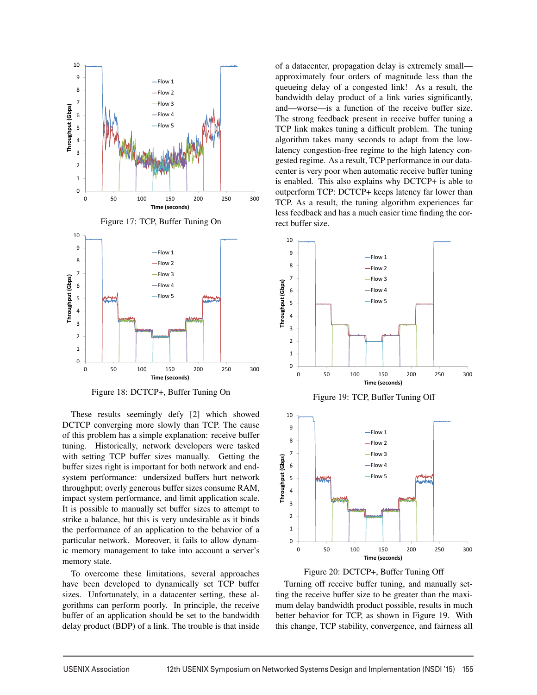

Figure 18: DCTCP+, Buffer Tuning On

These results seemingly defy [2] which showed DCTCP converging more slowly than TCP. The cause of this problem has a simple explanation: receive buffer tuning. Historically, network developers were tasked with setting TCP buffer sizes manually. Getting the buffer sizes right is important for both network and endsystem performance: undersized buffers hurt network throughput; overly generous buffer sizes consume RAM, impact system performance, and limit application scale. It is possible to manually set buffer sizes to attempt to strike a balance, but this is very undesirable as it binds the performance of an application to the behavior of a particular network. Moreover, it fails to allow dynamic memory management to take into account a server's memory state.

To overcome these limitations, several approaches have been developed to dynamically set TCP buffer sizes. Unfortunately, in a datacenter setting, these algorithms can perform poorly. In principle, the receive buffer of an application should be set to the bandwidth delay product (BDP) of a link. The trouble is that inside

of a datacenter, propagation delay is extremely small approximately four orders of magnitude less than the queueing delay of a congested link! As a result, the bandwidth delay product of a link varies significantly, and—worse—is a function of the receive buffer size. The strong feedback present in receive buffer tuning a TCP link makes tuning a difficult problem. The tuning algorithm takes many seconds to adapt from the lowlatency congestion-free regime to the high latency congested regime. As a result, TCP performance in our datacenter is very poor when automatic receive buffer tuning is enabled. This also explains why DCTCP+ is able to outperform TCP: DCTCP+ keeps latency far lower than TCP. As a result, the tuning algorithm experiences far less feedback and has a much easier time finding the correct buffer size.







Turning off receive buffer tuning, and manually setting the receive buffer size to be greater than the maximum delay bandwidth product possible, results in much better behavior for TCP, as shown in Figure 19. With this change, TCP stability, convergence, and fairness all

 $\overline{1}$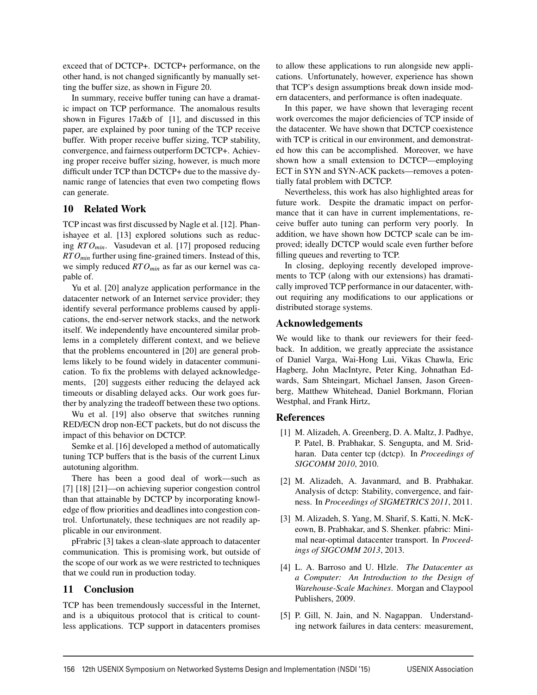exceed that of DCTCP+. DCTCP+ performance, on the other hand, is not changed significantly by manually setting the buffer size, as shown in Figure 20.

In summary, receive buffer tuning can have a dramatic impact on TCP performance. The anomalous results shown in Figures 17a&b of [1], and discussed in this paper, are explained by poor tuning of the TCP receive buffer. With proper receive buffer sizing, TCP stability, convergence, and fairness outperform DCTCP+. Achieving proper receive buffer sizing, however, is much more difficult under TCP than DCTCP+ due to the massive dynamic range of latencies that even two competing flows can generate.

# 10 Related Work

TCP incast was first discussed by Nagle et al. [12]. Phanishayee et al. [13] explored solutions such as reducing *RTOmin*. Vasudevan et al. [17] proposed reducing *RTOmin* further using fine-grained timers. Instead of this, we simply reduced *RTOmin* as far as our kernel was capable of.

Yu et al. [20] analyze application performance in the datacenter network of an Internet service provider; they identify several performance problems caused by applications, the end-server network stacks, and the network itself. We independently have encountered similar problems in a completely different context, and we believe that the problems encountered in [20] are general problems likely to be found widely in datacenter communication. To fix the problems with delayed acknowledgements, [20] suggests either reducing the delayed ack timeouts or disabling delayed acks. Our work goes further by analyzing the tradeoff between these two options.

Wu et al. [19] also observe that switches running RED/ECN drop non-ECT packets, but do not discuss the impact of this behavior on DCTCP.

Semke et al. [16] developed a method of automatically tuning TCP buffers that is the basis of the current Linux autotuning algorithm.

There has been a good deal of work—such as [7] [18] [21]—on achieving superior congestion control than that attainable by DCTCP by incorporating knowledge of flow priorities and deadlines into congestion control. Unfortunately, these techniques are not readily applicable in our environment.

pFrabric [3] takes a clean-slate approach to datacenter communication. This is promising work, but outside of the scope of our work as we were restricted to techniques that we could run in production today.

#### 11 Conclusion

TCP has been tremendously successful in the Internet, and is a ubiquitous protocol that is critical to countless applications. TCP support in datacenters promises to allow these applications to run alongside new applications. Unfortunately, however, experience has shown that TCP's design assumptions break down inside modern datacenters, and performance is often inadequate.

In this paper, we have shown that leveraging recent work overcomes the major deficiencies of TCP inside of the datacenter. We have shown that DCTCP coexistence with TCP is critical in our environment, and demonstrated how this can be accomplished. Moreover, we have shown how a small extension to DCTCP—employing ECT in SYN and SYN-ACK packets—removes a potentially fatal problem with DCTCP.

Nevertheless, this work has also highlighted areas for future work. Despite the dramatic impact on performance that it can have in current implementations, receive buffer auto tuning can perform very poorly. In addition, we have shown how DCTCP scale can be improved; ideally DCTCP would scale even further before filling queues and reverting to TCP.

In closing, deploying recently developed improvements to TCP (along with our extensions) has dramatically improved TCP performance in our datacenter, without requiring any modifications to our applications or distributed storage systems.

#### Acknowledgements

We would like to thank our reviewers for their feedback. In addition, we greatly appreciate the assistance of Daniel Varga, Wai-Hong Lui, Vikas Chawla, Eric Hagberg, John MacIntyre, Peter King, Johnathan Edwards, Sam Shteingart, Michael Jansen, Jason Greenberg, Matthew Whitehead, Daniel Borkmann, Florian Westphal, and Frank Hirtz,

#### References

- [1] M. Alizadeh, A. Greenberg, D. A. Maltz, J. Padhye, P. Patel, B. Prabhakar, S. Sengupta, and M. Sridharan. Data center tcp (dctcp). In *Proceedings of SIGCOMM 2010*, 2010.
- [2] M. Alizadeh, A. Javanmard, and B. Prabhakar. Analysis of dctcp: Stability, convergence, and fairness. In *Proceedings of SIGMETRICS 2011*, 2011.
- [3] M. Alizadeh, S. Yang, M. Sharif, S. Katti, N. McKeown, B. Prabhakar, and S. Shenker. pfabric: Minimal near-optimal datacenter transport. In *Proceedings of SIGCOMM 2013*, 2013.
- [4] L. A. Barroso and U. Hlzle. *The Datacenter as a Computer: An Introduction to the Design of Warehouse-Scale Machines*. Morgan and Claypool Publishers, 2009.
- [5] P. Gill, N. Jain, and N. Nagappan. Understanding network failures in data centers: measurement,

 $\overline{a}$